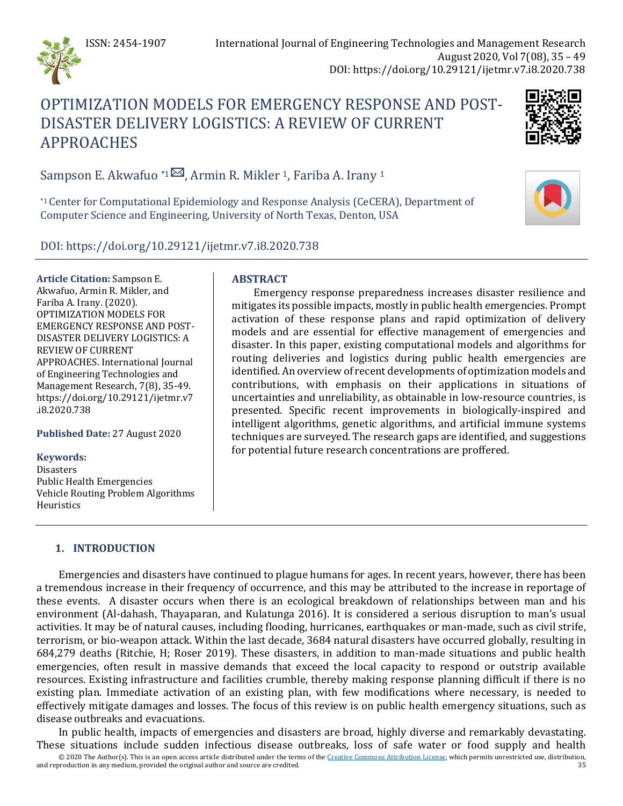

# OPTIMIZATION MODELS FOR EMERGENCY RESPONSE AND POST-DISASTER DELIVERY LOGISTICS: A REVIEW OF CURRENT APPROACHES



Sampson E. Akwafuo \*1 $\boxtimes$ , Armin R. Mikler 1, Fariba A. Irany 1

\*1 Center for Computational Epidemiology and Response Analysis (CeCERA), Department of Computer Science and Engineering, University of North Texas, Denton, USA

DOI: https://doi.org/10.29121/ijetmr.v7.i8.2020.738

**Article Citation:** Sampson E. Akwafuo, Armin R. Mikler, and Fariba A. Irany. (2020). OPTIMIZATION MODELS FOR EMERGENCY RESPONSE AND POST-DISASTER DELIVERY LOGISTICS: A REVIEW OF CURRENT APPROACHES. International Journal of Engineering Technologies and Management Research, 7(8), 35-49. https://doi.org/10.29121/ijetmr.v7 .i8.2020.738

**Published Date:** 27 August 2020

### **Keywords:**

Disasters Public Health Emergencies Vehicle Routing Problem Algorithms Heuristics

## **ABSTRACT**

Emergency response preparedness increases disaster resilience and mitigates its possible impacts, mostly in public health emergencies. Prompt activation of these response plans and rapid optimization of delivery models and are essential for effective management of emergencies and disaster. In this paper, existing computational models and algorithms for routing deliveries and logistics during public health emergencies are identified. An overview of recent developments of optimization models and contributions, with emphasis on their applications in situations of uncertainties and unreliability, as obtainable in low-resource countries, is presented. Specific recent improvements in biologically-inspired and intelligent algorithms, genetic algorithms, and artificial immune systems techniques are surveyed. The research gaps are identified, and suggestions for potential future research concentrations are proffered.

## **1. INTRODUCTION**

Emergencies and disasters have continued to plague humans for ages. In recent years, however, there has been a tremendous increase in their frequency of occurrence, and this may be attributed to the increase in reportage of these events. A disaster occurs when there is an ecological breakdown of relationships between man and his environment (Al-dahash, Thayaparan, and Kulatunga 2016). It is considered a serious disruption to man's usual activities. It may be of natural causes, including flooding, hurricanes, earthquakes or man-made, such as civil strife, terrorism, or bio-weapon attack. Within the last decade, 3684 natural disasters have occurred globally, resulting in 684,279 deaths (Ritchie, H; Roser 2019). These disasters, in addition to man-made situations and public health emergencies, often result in massive demands that exceed the local capacity to respond or outstrip available resources. Existing infrastructure and facilities crumble, thereby making response planning difficult if there is no existing plan. Immediate activation of an existing plan, with few modifications where necessary, is needed to effectively mitigate damages and losses. The focus of this review is on public health emergency situations, such as disease outbreaks and evacuations.

In public health, impacts of emergencies and disasters are broad, highly diverse and remarkably devastating. These situations include sudden infectious disease outbreaks, loss of safe water or food supply and health

© 2020 The Author(s). This is an open access article distributed under the terms of th[e Creative Commons Attribution License,](https://creativecommons.org/licenses/by/4.0/) which permits unrestricted use, distribution, and reproduction in any medium, provided the original author and source are credited.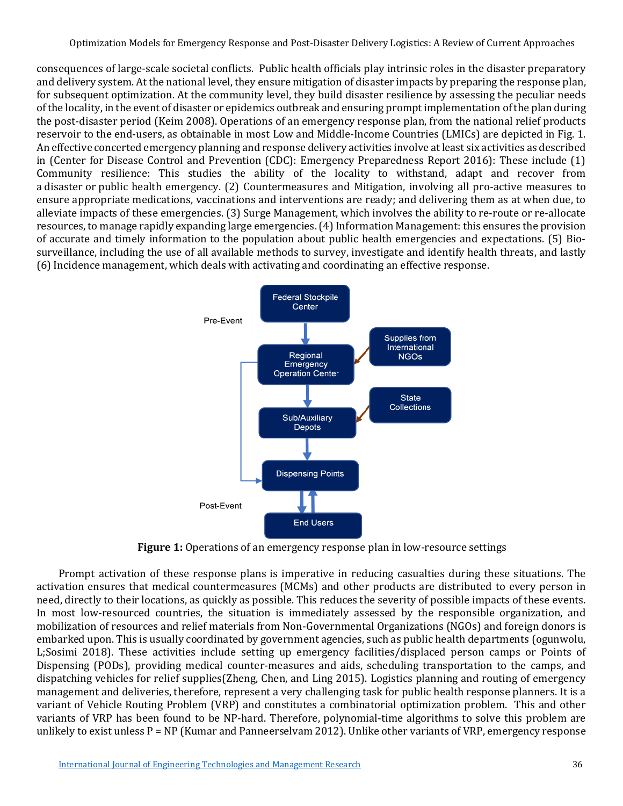consequences of large-scale societal conflicts. Public health officials play intrinsic roles in the disaster preparatory and delivery system. At the national level, they ensure mitigation of disaster impacts by preparing the response plan, for subsequent optimization. At the community level, they build disaster resilience by assessing the peculiar needs of the locality, in the event of disaster or epidemics outbreak and ensuring prompt implementation of the plan during the post-disaster period (Keim 2008). Operations of an emergency response plan, from the national relief products reservoir to the end-users, as obtainable in most Low and Middle-Income Countries (LMICs) are depicted in Fig. 1. An effective concerted emergency planning and response delivery activities involve at least six activities as described in (Center for Disease Control and Prevention (CDC): Emergency Preparedness Report 2016): These include (1) Community resilience: This studies the ability of the locality to withstand, adapt and recover from a disaster or public health emergency. (2) Countermeasures and Mitigation, involving all pro-active measures to ensure appropriate medications, vaccinations and interventions are ready; and delivering them as at when due, to alleviate impacts of these emergencies. (3) Surge Management, which involves the ability to re-route or re-allocate resources, to manage rapidly expanding large emergencies. (4) Information Management: this ensures the provision of accurate and timely information to the population about public health emergencies and expectations. (5) Biosurveillance, including the use of all available methods to survey, investigate and identify health threats, and lastly (6) Incidence management, which deals with activating and coordinating an effective response.



**Figure 1:** Operations of an emergency response plan in low-resource settings

Prompt activation of these response plans is imperative in reducing casualties during these situations. The activation ensures that medical countermeasures (MCMs) and other products are distributed to every person in need, directly to their locations, as quickly as possible. This reduces the severity of possible impacts of these events. In most low-resourced countries, the situation is immediately assessed by the responsible organization, and mobilization of resources and relief materials from Non-Governmental Organizations (NGOs) and foreign donors is embarked upon. This is usually coordinated by government agencies, such as public health departments (ogunwolu, L;Sosimi 2018). These activities include setting up emergency facilities/displaced person camps or Points of Dispensing (PODs), providing medical counter-measures and aids, scheduling transportation to the camps, and dispatching vehicles for relief supplies(Zheng, Chen, and Ling 2015). Logistics planning and routing of emergency management and deliveries, therefore, represent a very challenging task for public health response planners. It is a variant of Vehicle Routing Problem (VRP) and constitutes a combinatorial optimization problem. This and other variants of VRP has been found to be NP-hard. Therefore, polynomial-time algorithms to solve this problem are unlikely to exist unless P = NP (Kumar and Panneerselvam 2012). Unlike other variants of VRP, emergency response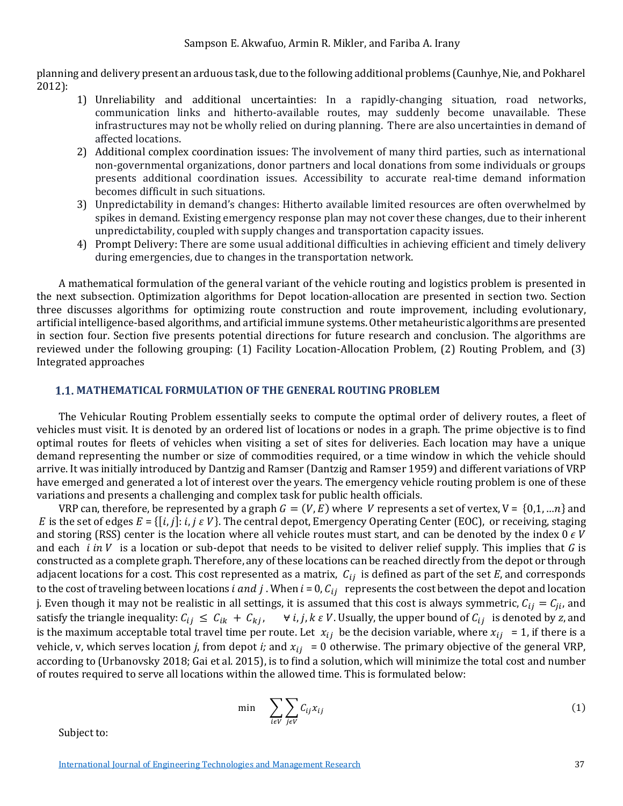planning and delivery present an arduous task, due to the following additional problems (Caunhye, Nie, and Pokharel 2012):

- 1) Unreliability and additional uncertainties: In a rapidly-changing situation, road networks, communication links and hitherto-available routes, may suddenly become unavailable. These infrastructures may not be wholly relied on during planning. There are also uncertainties in demand of affected locations.
- 2) Additional complex coordination issues: The involvement of many third parties, such as international non-governmental organizations, donor partners and local donations from some individuals or groups presents additional coordination issues. Accessibility to accurate real-time demand information becomes difficult in such situations.
- 3) Unpredictability in demand's changes: Hitherto available limited resources are often overwhelmed by spikes in demand. Existing emergency response plan may not cover these changes, due to their inherent unpredictability, coupled with supply changes and transportation capacity issues.
- 4) Prompt Delivery: There are some usual additional difficulties in achieving efficient and timely delivery during emergencies, due to changes in the transportation network.

A mathematical formulation of the general variant of the vehicle routing and logistics problem is presented in the next subsection. Optimization algorithms for Depot location-allocation are presented in section two. Section three discusses algorithms for optimizing route construction and route improvement, including evolutionary, artificial intelligence-based algorithms, and artificial immune systems. Other metaheuristic algorithms are presented in section four. Section five presents potential directions for future research and conclusion. The algorithms are reviewed under the following grouping: (1) Facility Location-Allocation Problem, (2) Routing Problem, and (3) Integrated approaches

#### **MATHEMATICAL FORMULATION OF THE GENERAL ROUTING PROBLEM**

The Vehicular Routing Problem essentially seeks to compute the optimal order of delivery routes, a fleet of vehicles must visit. It is denoted by an ordered list of locations or nodes in a graph. The prime objective is to find optimal routes for fleets of vehicles when visiting a set of sites for deliveries. Each location may have a unique demand representing the number or size of commodities required, or a time window in which the vehicle should arrive. It was initially introduced by Dantzig and Ramser (Dantzig and Ramser 1959) and different variations of VRP have emerged and generated a lot of interest over the years. The emergency vehicle routing problem is one of these variations and presents a challenging and complex task for public health officials.

VRP can, therefore, be represented by a graph  $G = (V, E)$  where V represents a set of vertex,  $V = \{0, 1, ...n\}$  and E is the set of edges  $E = \{ [i, j]: i, j \in V \}$ . The central depot, Emergency Operating Center (EOC), or receiving, staging and storing (RSS) center is the location where all vehicle routes must start, and can be denoted by the index  $0 \in V$ and each  $i$  in V is a location or sub-depot that needs to be visited to deliver relief supply. This implies that  $G$  is constructed as a complete graph. Therefore, any of these locations can be reached directly from the depot or through adjacent locations for a cost. This cost represented as a matrix,  $C_{ij}$  is defined as part of the set  $E$ , and corresponds to the cost of traveling between locations *i* and *j*. When  $i = 0$ ,  $C_{ij}$  represents the cost between the depot and location j. Even though it may not be realistic in all settings, it is assumed that this cost is always symmetric,  $C_{ij} = C_{ji}$ , and satisfy the triangle inequality:  $C_{ij} \le C_{ik} + C_{kj}$ ,  $\forall i, j, k \in V$ . Usually, the upper bound of  $C_{ij}$  is denoted by *z*, and is the maximum acceptable total travel time per route. Let  $x_{ij}$  be the decision variable, where  $x_{ij} = 1$ , if there is a vehicle, v, which serves location *j*, from depot *i*; and  $x_{ij} = 0$  otherwise. The primary objective of the general VRP, according to (Urbanovsky 2018; Gai et al. 2015), is to find a solution, which will minimize the total cost and number of routes required to serve all locations within the allowed time. This is formulated below:

$$
\min \sum_{i \in V} \sum_{j \in V} C_{ij} x_{ij} \tag{1}
$$

Subject to: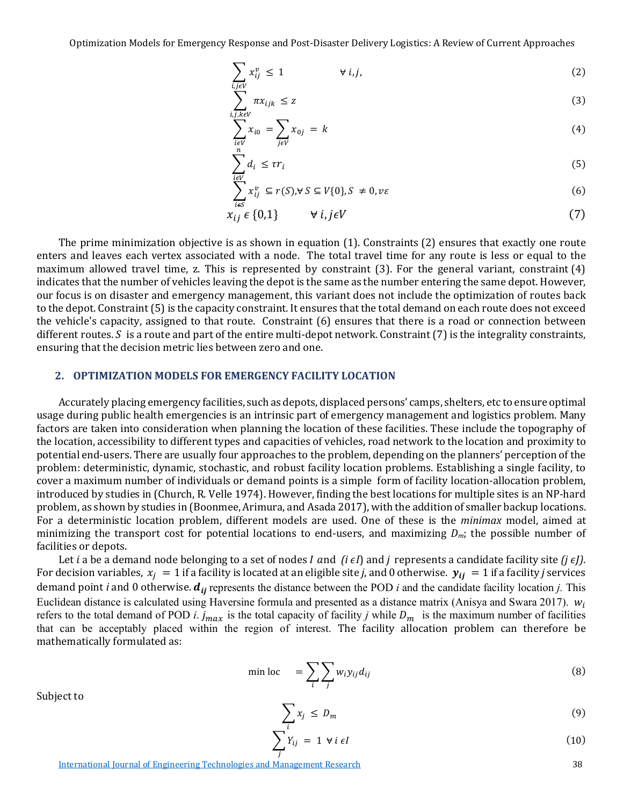$$
\sum_{i,j\in V} x_{ij}^{\nu} \le 1 \qquad \forall i,j,
$$
\n(2)

$$
\sum_{i,j,k \in V} \pi x_{ijk} \le z \tag{3}
$$

$$
\sum_{\substack{i\in V\\n}} x_{i0} = \sum_{j\in V} x_{0j} = k \tag{4}
$$

$$
\sum_{i \in V} d_i \le \tau r_i \tag{5}
$$

$$
\sum_{i \in S} x_{ij}^{\nu} \subseteq r(S), \forall S \subseteq V\{0\}, S \neq 0, \nu \varepsilon
$$
 (6)

$$
x_{ij} \in \{0,1\} \qquad \forall i, j \in V \tag{7}
$$

The prime minimization objective is as shown in equation (1). Constraints (2) ensures that exactly one route enters and leaves each vertex associated with a node. The total travel time for any route is less or equal to the maximum allowed travel time, z. This is represented by constraint (3). For the general variant, constraint (4) indicates that the number of vehicles leaving the depot is the same as the number entering the same depot. However, our focus is on disaster and emergency management, this variant does not include the optimization of routes back to the depot. Constraint (5) is the capacity constraint. It ensures that the total demand on each route does not exceed the vehicle's capacity, assigned to that route. Constraint (6) ensures that there is a road or connection between different routes.  $S$  is a route and part of the entire multi-depot network. Constraint  $(7)$  is the integrality constraints, ensuring that the decision metric lies between zero and one.

#### **2. OPTIMIZATION MODELS FOR EMERGENCY FACILITY LOCATION**

Accurately placing emergency facilities, such as depots, displaced persons' camps, shelters, etc to ensure optimal usage during public health emergencies is an intrinsic part of emergency management and logistics problem. Many factors are taken into consideration when planning the location of these facilities. These include the topography of the location, accessibility to different types and capacities of vehicles, road network to the location and proximity to potential end-users. There are usually four approaches to the problem, depending on the planners' perception of the problem: deterministic, dynamic, stochastic, and robust facility location problems. Establishing a single facility, to cover a maximum number of individuals or demand points is a simple form of facility location-allocation problem, introduced by studies in (Church, R. Velle 1974). However, finding the best locations for multiple sites is an NP-hard problem, as shown by studies in (Boonmee, Arimura, and Asada 2017), with the addition of smaller backup locations. For a deterministic location problem, different models are used. One of these is the *minimax* model, aimed at minimizing the transport cost for potential locations to end-users, and maximizing *Dm*; the possible number of facilities or depots.

Let *i* a be a demand node belonging to a set of nodes *I* and  $(i \epsilon I)$  and *j* represents a candidate facility site  $(j \epsilon J)$ . For decision variables,  $x_i = 1$  if a facility is located at an eligible site *j*, and 0 otherwise.  $y_{ii} = 1$  if a facility *j* services demand point *i* and 0 otherwise.  $d_{ij}$  represents the distance between the POD *i* and the candidate facility location *j*. This Euclidean distance is calculated using Haversine formula and presented as a distance matrix (Anisya and Swara 2017).  $w_i$ refers to the total demand of POD *i*.  $j_{max}$  is the total capacity of facility *j* while  $D_m$  is the maximum number of facilities that can be acceptably placed within the region of interest. The facility allocation problem can therefore be mathematically formulated as:

$$
\min \operatorname{loc} \quad = \sum_{i} \sum_{j} w_{i} y_{ij} d_{ij} \tag{8}
$$

 $\sum_{x}$  $\iota$  $\leq D_m$  (9)

 $\sum Y_{ij} = 1 \forall i \in I$  (10)

Subject to

[International Journal of Engineering Technologies and Management Research](https://www.granthaalayahpublication.org/ijetmr-ojms/index.php/ijetmr) 38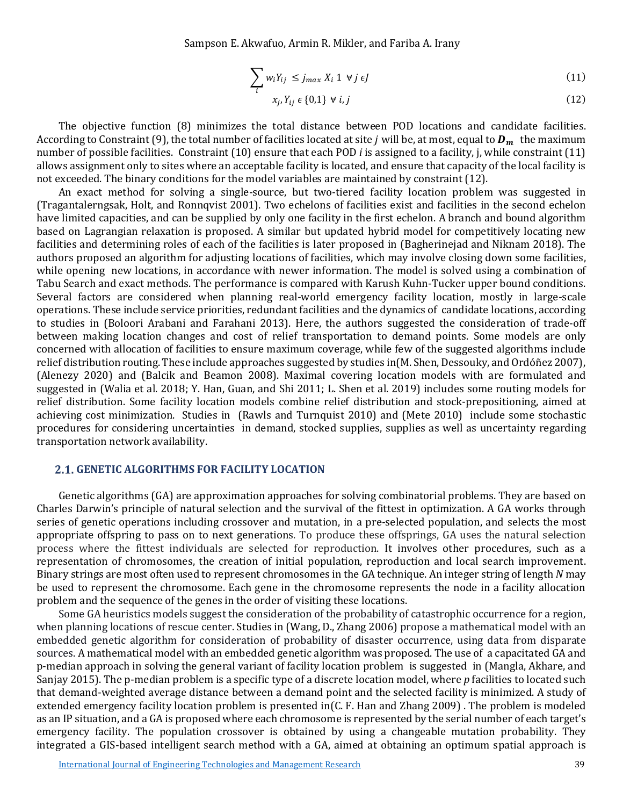Sampson E. Akwafuo, Armin R. Mikler, and Fariba A. Irany

$$
\sum_{i} w_{i} Y_{ij} \le j_{max} X_{i} \; 1 \; \forall j \in J
$$
\n
$$
(11)
$$

$$
x_j, Y_{ij} \in \{0,1\} \ \forall \ i, j \tag{12}
$$

The objective function (8) minimizes the total distance between POD locations and candidate facilities. According to Constraint (9), the total number of facilities located at site *j* will be, at most, equal to  $D_m$  the maximum number of possible facilities. Constraint (10) ensure that each POD *i* is assigned to a facility, j, while constraint (11) allows assignment only to sites where an acceptable facility is located, and ensure that capacity of the local facility is not exceeded. The binary conditions for the model variables are maintained by constraint (12).

An exact method for solving a single-source, but two-tiered facility location problem was suggested in (Tragantalerngsak, Holt, and Ronnqvist 2001). Two echelons of facilities exist and facilities in the second echelon have limited capacities, and can be supplied by only one facility in the first echelon. A branch and bound algorithm based on Lagrangian relaxation is proposed. A similar but updated hybrid model for competitively locating new facilities and determining roles of each of the facilities is later proposed in (Bagherinejad and Niknam 2018). The authors proposed an algorithm for adjusting locations of facilities, which may involve closing down some facilities, while opening new locations, in accordance with newer information. The model is solved using a combination of Tabu Search and exact methods. The performance is compared with Karush Kuhn-Tucker upper bound conditions. Several factors are considered when planning real-world emergency facility location, mostly in large-scale operations. These include service priorities, redundant facilities and the dynamics of candidate locations, according to studies in (Boloori Arabani and Farahani 2013). Here, the authors suggested the consideration of trade-off between making location changes and cost of relief transportation to demand points. Some models are only concerned with allocation of facilities to ensure maximum coverage, while few of the suggested algorithms include relief distribution routing. These include approaches suggested by studies in(M. Shen, Dessouky, and Ordóñez 2007), (Alenezy 2020) and (Balcik and Beamon 2008). Maximal covering location models with are formulated and suggested in (Walia et al. 2018; Y. Han, Guan, and Shi 2011; L. Shen et al. 2019) includes some routing models for relief distribution. Some facility location models combine relief distribution and stock-prepositioning, aimed at achieving cost minimization. Studies in (Rawls and Turnquist 2010) and (Mete 2010) include some stochastic procedures for considering uncertainties in demand, stocked supplies, supplies as well as uncertainty regarding transportation network availability.

#### **GENETIC ALGORITHMS FOR FACILITY LOCATION**

Genetic algorithms (GA) are approximation approaches for solving combinatorial problems. They are based on Charles Darwin's principle of natural selection and the survival of the fittest in optimization. A GA works through series of genetic operations including crossover and mutation, in a pre-selected population, and selects the most appropriate offspring to pass on to next generations. To produce these offsprings, GA uses the natural selection process where the fittest individuals are selected for reproduction. It involves other procedures, such as a representation of chromosomes, the creation of initial population, reproduction and local search improvement. Binary strings are most often used to represent chromosomes in the GA technique. An integer string of length *N* may be used to represent the chromosome. Each gene in the chromosome represents the node in a facility allocation problem and the sequence of the genes in the order of visiting these locations.

Some GA heuristics models suggest the consideration of the probability of catastrophic occurrence for a region, when planning locations of rescue center. Studies in (Wang, D., Zhang 2006) propose a mathematical model with an embedded genetic algorithm for consideration of probability of disaster occurrence, using data from disparate sources. A mathematical model with an embedded genetic algorithm was proposed. The use of a capacitated GA and p-median approach in solving the general variant of facility location problem is suggested in (Mangla, Akhare, and Sanjay 2015). The p-median problem is a specific type of a discrete location model, where *p* facilities to located such that demand-weighted average distance between a demand point and the selected facility is minimized. A study of extended emergency facility location problem is presented in(C. F. Han and Zhang 2009) . The problem is modeled as an IP situation, and a GA is proposed where each chromosome is represented by the serial number of each target's emergency facility. The population crossover is obtained by using a changeable mutation probability. They integrated a GIS-based intelligent search method with a GA, aimed at obtaining an optimum spatial approach is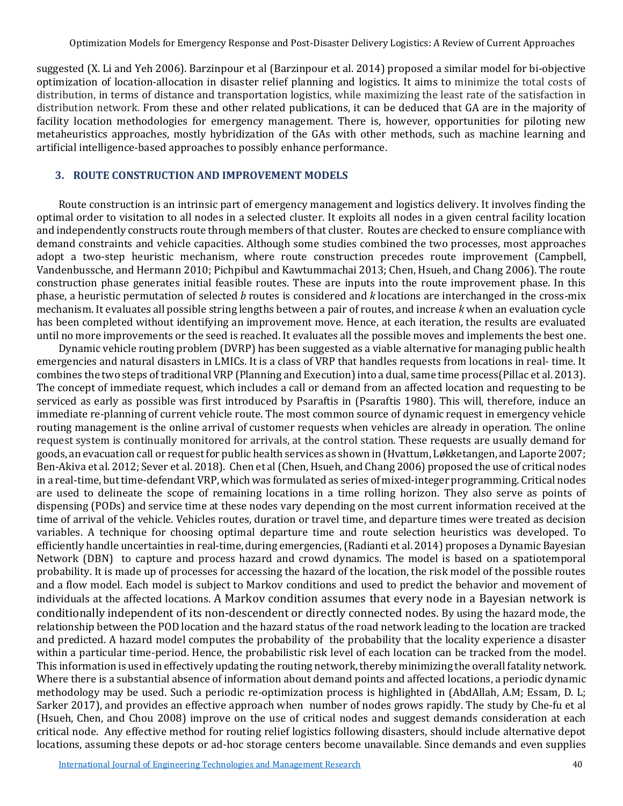suggested (X. Li and Yeh 2006). Barzinpour et al (Barzinpour et al. 2014) proposed a similar model for bi-objective optimization of location-allocation in disaster relief planning and logistics. It aims to minimize the total costs of distribution, in terms of distance and transportation logistics, while maximizing the least rate of the satisfaction in distribution network. From these and other related publications, it can be deduced that GA are in the majority of facility location methodologies for emergency management. There is, however, opportunities for piloting new metaheuristics approaches, mostly hybridization of the GAs with other methods, such as machine learning and artificial intelligence-based approaches to possibly enhance performance.

## **3. ROUTE CONSTRUCTION AND IMPROVEMENT MODELS**

Route construction is an intrinsic part of emergency management and logistics delivery. It involves finding the optimal order to visitation to all nodes in a selected cluster. It exploits all nodes in a given central facility location and independently constructs route through members of that cluster. Routes are checked to ensure compliance with demand constraints and vehicle capacities. Although some studies combined the two processes, most approaches adopt a two-step heuristic mechanism, where route construction precedes route improvement (Campbell, Vandenbussche, and Hermann 2010; Pichpibul and Kawtummachai 2013; Chen, Hsueh, and Chang 2006). The route construction phase generates initial feasible routes. These are inputs into the route improvement phase. In this phase, a heuristic permutation of selected *b* routes is considered and *k* locations are interchanged in the cross-mix mechanism. It evaluates all possible string lengths between a pair of routes, and increase *k* when an evaluation cycle has been completed without identifying an improvement move. Hence, at each iteration, the results are evaluated until no more improvements or the seed is reached. It evaluates all the possible moves and implements the best one.

Dynamic vehicle routing problem (DVRP) has been suggested as a viable alternative for managing public health emergencies and natural disasters in LMICs. It is a class of VRP that handles requests from locations in real- time. It combines the two steps of traditional VRP (Planning and Execution) into a dual, same time process(Pillac et al. 2013). The concept of immediate request, which includes a call or demand from an affected location and requesting to be serviced as early as possible was first introduced by Psaraftis in (Psaraftis 1980). This will, therefore, induce an immediate re-planning of current vehicle route. The most common source of dynamic request in emergency vehicle routing management is the online arrival of customer requests when vehicles are already in operation. The online request system is continually monitored for arrivals, at the control station. These requests are usually demand for goods, an evacuation call or request for public health services as shown in (Hvattum, Løkketangen, and Laporte 2007; Ben-Akiva et al. 2012; Sever et al. 2018). Chen et al (Chen, Hsueh, and Chang 2006) proposed the use of critical nodes in a real-time, but time-defendant VRP, which was formulated as series of mixed-integer programming. Critical nodes are used to delineate the scope of remaining locations in a time rolling horizon. They also serve as points of dispensing (PODs) and service time at these nodes vary depending on the most current information received at the time of arrival of the vehicle. Vehicles routes, duration or travel time, and departure times were treated as decision variables. A technique for choosing optimal departure time and route selection heuristics was developed. To efficiently handle uncertainties in real-time, during emergencies, (Radianti et al. 2014) proposes a Dynamic Bayesian Network (DBN) to capture and process hazard and crowd dynamics. The model is based on a spatiotemporal probability. It is made up of processes for accessing the hazard of the location, the risk model of the possible routes and a flow model. Each model is subject to Markov conditions and used to predict the behavior and movement of individuals at the affected locations. A Markov condition assumes that every node in a Bayesian network is conditionally independent of its non-descendent or directly connected nodes. By using the hazard mode, the relationship between the POD location and the hazard status of the road network leading to the location are tracked and predicted. A hazard model computes the probability of the probability that the locality experience a disaster within a particular time-period. Hence, the probabilistic risk level of each location can be tracked from the model. This information is used in effectively updating the routing network, thereby minimizing the overall fatality network. Where there is a substantial absence of information about demand points and affected locations, a periodic dynamic methodology may be used. Such a periodic re-optimization process is highlighted in (AbdAllah, A.M; Essam, D. L; Sarker 2017), and provides an effective approach when number of nodes grows rapidly. The study by Che-fu et al (Hsueh, Chen, and Chou 2008) improve on the use of critical nodes and suggest demands consideration at each critical node. Any effective method for routing relief logistics following disasters, should include alternative depot locations, assuming these depots or ad-hoc storage centers become unavailable. Since demands and even supplies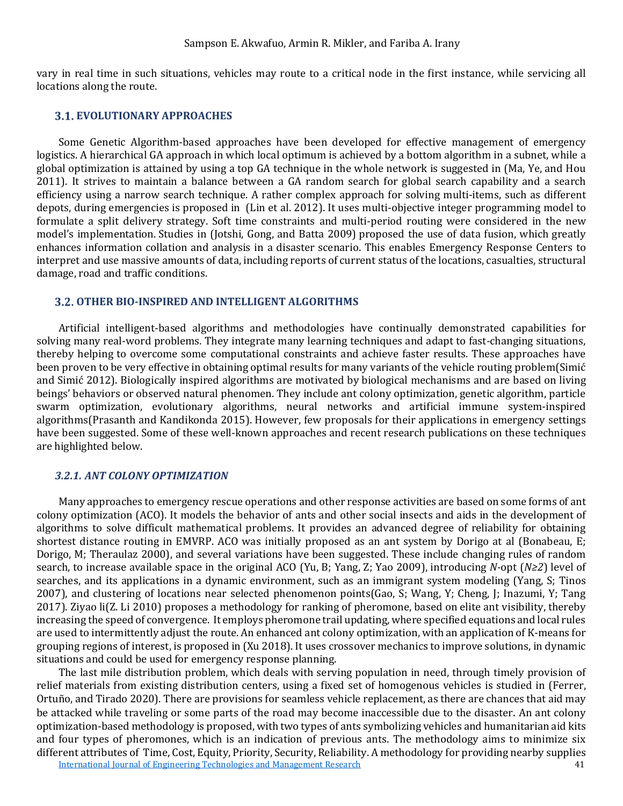vary in real time in such situations, vehicles may route to a critical node in the first instance, while servicing all locations along the route.

#### **EVOLUTIONARY APPROACHES**

Some Genetic Algorithm-based approaches have been developed for effective management of emergency logistics. A hierarchical GA approach in which local optimum is achieved by a bottom algorithm in a subnet, while a global optimization is attained by using a top GA technique in the whole network is suggested in (Ma, Ye, and Hou 2011). It strives to maintain a balance between a GA random search for global search capability and a search efficiency using a narrow search technique. A rather complex approach for solving multi-items, such as different depots, during emergencies is proposed in (Lin et al. 2012). It uses multi-objective integer programming model to formulate a split delivery strategy. Soft time constraints and multi-period routing were considered in the new model's implementation. Studies in (Jotshi, Gong, and Batta 2009) proposed the use of data fusion, which greatly enhances information collation and analysis in a disaster scenario. This enables Emergency Response Centers to interpret and use massive amounts of data, including reports of current status of the locations, casualties, structural damage, road and traffic conditions.

### **OTHER BIO-INSPIRED AND INTELLIGENT ALGORITHMS**

Artificial intelligent-based algorithms and methodologies have continually demonstrated capabilities for solving many real-word problems. They integrate many learning techniques and adapt to fast-changing situations, thereby helping to overcome some computational constraints and achieve faster results. These approaches have been proven to be very effective in obtaining optimal results for many variants of the vehicle routing problem(Simić and Simić 2012). Biologically inspired algorithms are motivated by biological mechanisms and are based on living beings' behaviors or observed natural phenomen. They include ant colony optimization, genetic algorithm, particle swarm optimization, evolutionary algorithms, neural networks and artificial immune system-inspired algorithms(Prasanth and Kandikonda 2015). However, few proposals for their applications in emergency settings have been suggested. Some of these well-known approaches and recent research publications on these techniques are highlighted below.

### *3.2.1. ANT COLONY OPTIMIZATION*

Many approaches to emergency rescue operations and other response activities are based on some forms of ant colony optimization (ACO). It models the behavior of ants and other social insects and aids in the development of algorithms to solve difficult mathematical problems. It provides an advanced degree of reliability for obtaining shortest distance routing in EMVRP. ACO was initially proposed as an ant system by Dorigo at al (Bonabeau, E; Dorigo, M; Theraulaz 2000), and several variations have been suggested. These include changing rules of random search, to increase available space in the original ACO (Yu, B; Yang, Z; Yao 2009), introducing *N-*opt (*N≥2*) level of searches, and its applications in a dynamic environment, such as an immigrant system modeling (Yang, S; Tinos 2007), and clustering of locations near selected phenomenon points(Gao, S; Wang, Y; Cheng, J; Inazumi, Y; Tang 2017). Ziyao li(Z. Li 2010) proposes a methodology for ranking of pheromone, based on elite ant visibility, thereby increasing the speed of convergence. It employs pheromone trail updating, where specified equations and local rules are used to intermittently adjust the route. An enhanced ant colony optimization, with an application of K-means for grouping regions of interest, is proposed in (Xu 2018). It uses crossover mechanics to improve solutions, in dynamic situations and could be used for emergency response planning.

[International Journal of Engineering Technologies and Management Research](https://www.granthaalayahpublication.org/ijetmr-ojms/index.php/ijetmr) 41 (41) The last mile distribution problem, which deals with serving population in need, through timely provision of relief materials from existing distribution centers, using a fixed set of homogenous vehicles is studied in (Ferrer, Ortuño, and Tirado 2020). There are provisions for seamless vehicle replacement, as there are chances that aid may be attacked while traveling or some parts of the road may become inaccessible due to the disaster. An ant colony optimization-based methodology is proposed, with two types of ants symbolizing vehicles and humanitarian aid kits and four types of pheromones, which is an indication of previous ants. The methodology aims to minimize six different attributes of Time, Cost, Equity, Priority, Security, Reliability. A methodology for providing nearby supplies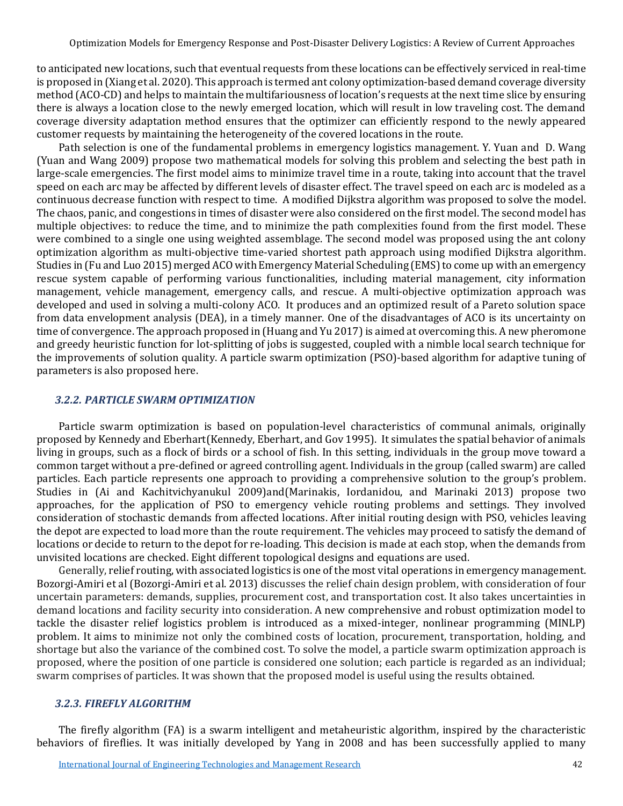to anticipated new locations, such that eventual requests from these locations can be effectively serviced in real-time is proposed in (Xiang et al. 2020). This approach is termed ant colony optimization-based demand coverage diversity method (ACO-CD) and helps to maintain the multifariousness of location's requests at the next time slice by ensuring there is always a location close to the newly emerged location, which will result in low traveling cost. The demand coverage diversity adaptation method ensures that the optimizer can efficiently respond to the newly appeared customer requests by maintaining the heterogeneity of the covered locations in the route.

Path selection is one of the fundamental problems in emergency logistics management. Y. Yuan and D. Wang (Yuan and Wang 2009) propose two mathematical models for solving this problem and selecting the best path in large-scale emergencies. The first model aims to minimize travel time in a route, taking into account that the travel speed on each arc may be affected by different levels of disaster effect. The travel speed on each arc is modeled as a continuous decrease function with respect to time. A modified Dijkstra algorithm was proposed to solve the model. The chaos, panic, and congestions in times of disaster were also considered on the first model. The second model has multiple objectives: to reduce the time, and to minimize the path complexities found from the first model. These were combined to a single one using weighted assemblage. The second model was proposed using the ant colony optimization algorithm as multi-objective time-varied shortest path approach using modified Dijkstra algorithm. Studies in (Fu and Luo 2015) merged ACO with Emergency Material Scheduling (EMS) to come up with an emergency rescue system capable of performing various functionalities, including material management, city information management, vehicle management, emergency calls, and rescue. A multi-objective optimization approach was developed and used in solving a multi-colony ACO. It produces and an optimized result of a Pareto solution space from data envelopment analysis (DEA), in a timely manner. One of the disadvantages of ACO is its uncertainty on time of convergence. The approach proposed in (Huang and Yu 2017) is aimed at overcoming this. A new pheromone and greedy heuristic function for lot-splitting of jobs is suggested, coupled with a nimble local search technique for the improvements of solution quality. A particle swarm optimization (PSO)-based algorithm for adaptive tuning of parameters is also proposed here.

## *3.2.2. PARTICLE SWARM OPTIMIZATION*

Particle swarm optimization is based on population-level characteristics of communal animals, originally proposed by Kennedy and Eberhart(Kennedy, Eberhart, and Gov 1995). It simulates the spatial behavior of animals living in groups, such as a flock of birds or a school of fish. In this setting, individuals in the group move toward a common target without a pre-defined or agreed controlling agent. Individuals in the group (called swarm) are called particles. Each particle represents one approach to providing a comprehensive solution to the group's problem. Studies in (Ai and Kachitvichyanukul 2009)and(Marinakis, Iordanidou, and Marinaki 2013) propose two approaches, for the application of PSO to emergency vehicle routing problems and settings. They involved consideration of stochastic demands from affected locations. After initial routing design with PSO, vehicles leaving the depot are expected to load more than the route requirement. The vehicles may proceed to satisfy the demand of locations or decide to return to the depot for re-loading. This decision is made at each stop, when the demands from unvisited locations are checked. Eight different topological designs and equations are used.

Generally, relief routing, with associated logistics is one of the most vital operations in emergency management. Bozorgi-Amiri et al (Bozorgi-Amiri et al. 2013) discusses the relief chain design problem, with consideration of four uncertain parameters: demands, supplies, procurement cost, and transportation cost. It also takes uncertainties in demand locations and facility security into consideration. A new comprehensive and robust optimization model to tackle the disaster relief logistics problem is introduced as a mixed-integer, nonlinear programming (MINLP) problem. It aims to minimize not only the combined costs of location, procurement, transportation, holding, and shortage but also the variance of the combined cost. To solve the model, a particle swarm optimization approach is proposed, where the position of one particle is considered one solution; each particle is regarded as an individual; swarm comprises of particles. It was shown that the proposed model is useful using the results obtained.

#### *3.2.3. FIREFLY ALGORITHM*

The firefly algorithm (FA) is a swarm intelligent and metaheuristic algorithm, inspired by the characteristic behaviors of fireflies. It was initially developed by Yang in 2008 and has been successfully applied to many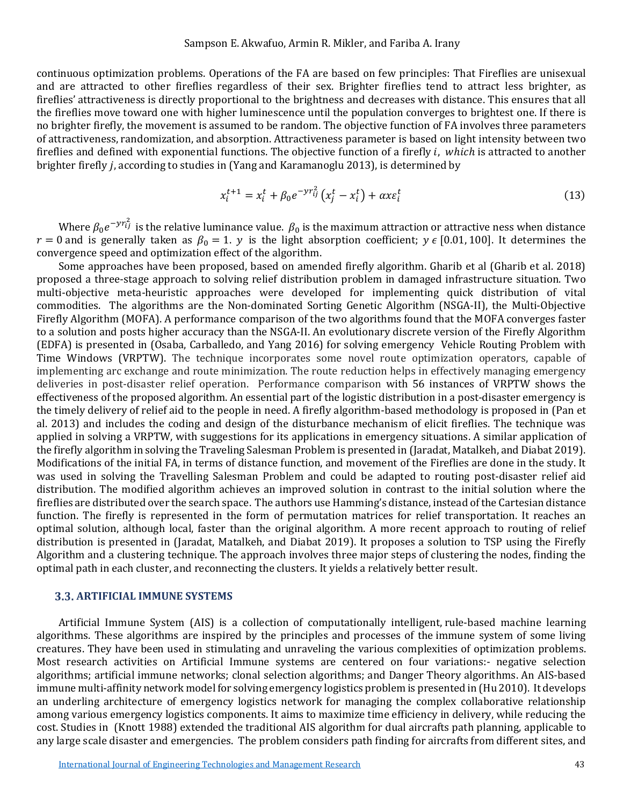continuous optimization problems. Operations of the FA are based on few principles: That Fireflies are unisexual and are attracted to other fireflies regardless of their sex. Brighter fireflies tend to attract less brighter, as fireflies' attractiveness is directly proportional to the brightness and decreases with distance. This ensures that all the fireflies move toward one with higher luminescence until the population converges to brightest one. If there is no brighter firefly, the movement is assumed to be random. The objective function of FA involves three parameters of attractiveness, randomization, and absorption. Attractiveness parameter is based on light intensity between two fireflies and defined with exponential functions. The objective function of a firefly  $i$ , which is attracted to another brighter firefly , according to studies in (Yang and Karamanoglu 2013), is determined by

$$
x_i^{t+1} = x_i^t + \beta_0 e^{-\gamma r_{ij}^2} \left( x_j^t - x_i^t \right) + \alpha x \varepsilon_i^t \tag{13}
$$

Where  $\beta_0 e^{-y r_{ij}^2}$  is the relative luminance value.  $\beta_0$  is the maximum attraction or attractive ness when distance  $r = 0$  and is generally taken as  $\beta_0 = 1$ .  $y$  is the light absorption coefficient;  $y \in [0.01, 100]$ . It determines the convergence speed and optimization effect of the algorithm.

Some approaches have been proposed, based on amended firefly algorithm. Gharib et al (Gharib et al. 2018) proposed a three-stage approach to solving relief distribution problem in damaged infrastructure situation. Two multi-objective meta-heuristic approaches were developed for implementing quick distribution of vital commodities. The algorithms are the Non-dominated Sorting Genetic Algorithm (NSGA-II), the Multi-Objective Firefly Algorithm (MOFA). A performance comparison of the two algorithms found that the MOFA converges faster to a solution and posts higher accuracy than the NSGA-II. An evolutionary discrete version of the Firefly Algorithm (EDFA) is presented in (Osaba, Carballedo, and Yang 2016) for solving emergency Vehicle Routing Problem with Time Windows (VRPTW). The technique incorporates some novel route optimization operators, capable of implementing arc exchange and route minimization. The route reduction helps in effectively managing emergency deliveries in post-disaster relief operation. Performance comparison with 56 instances of VRPTW shows the effectiveness of the proposed algorithm. An essential part of the logistic distribution in a post-disaster emergency is the timely delivery of relief aid to the people in need. A firefly algorithm-based methodology is proposed in (Pan et al. 2013) and includes the coding and design of the disturbance mechanism of elicit fireflies. The technique was applied in solving a VRPTW, with suggestions for its applications in emergency situations. A similar application of the firefly algorithm in solving the Traveling Salesman Problem is presented in (Jaradat, Matalkeh, and Diabat 2019). Modifications of the initial FA, in terms of distance function, and movement of the Fireflies are done in the study. It was used in solving the Travelling Salesman Problem and could be adapted to routing post-disaster relief aid distribution. The modified algorithm achieves an improved solution in contrast to the initial solution where the fireflies are distributed over the search space. The authors use Hamming's distance, instead of the Cartesian distance function. The firefly is represented in the form of permutation matrices for relief transportation. It reaches an optimal solution, although local, faster than the original algorithm. A more recent approach to routing of relief distribution is presented in (Jaradat, Matalkeh, and Diabat 2019). It proposes a solution to TSP using the Firefly Algorithm and a clustering technique. The approach involves three major steps of clustering the nodes, finding the optimal path in each cluster, and reconnecting the clusters. It yields a relatively better result.

#### **ARTIFICIAL IMMUNE SYSTEMS**

Artificial Immune System (AIS) is a collection of computationally intelligent, rule-based machine learning algorithms. These algorithms are inspired by the principles and processes of the immune system of some living creatures. They have been used in stimulating and unraveling the various complexities of optimization problems. Most research activities on Artificial Immune systems are centered on four variations:- negative selection algorithms; artificial immune networks; clonal selection algorithms; and Danger Theory algorithms. An AIS-based immune multi-affinity network model for solving emergency logistics problem is presented in (Hu 2010). It develops an underling architecture of emergency logistics network for managing the complex collaborative relationship among various emergency logistics components. It aims to maximize time efficiency in delivery, while reducing the cost. Studies in (Knott 1988) extended the traditional AIS algorithm for dual aircrafts path planning, applicable to any large scale disaster and emergencies. The problem considers path finding for aircrafts from different sites, and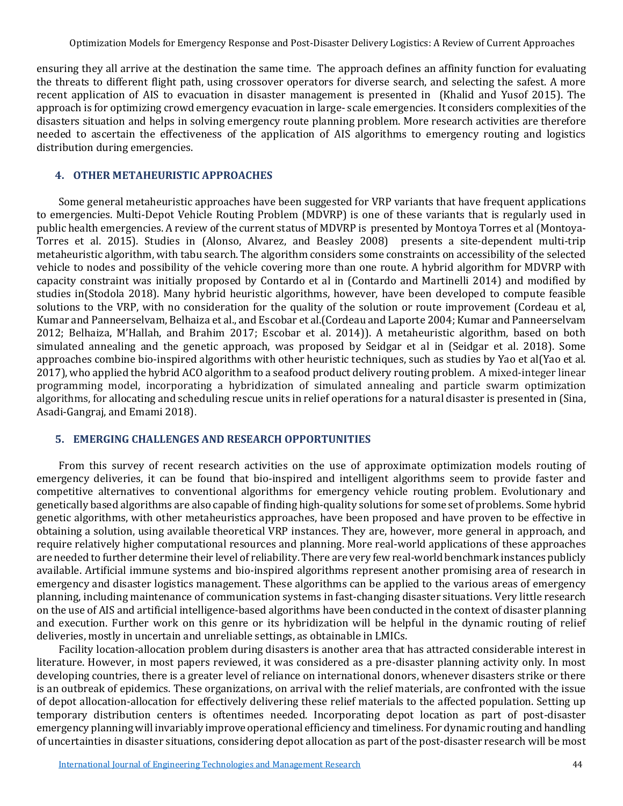ensuring they all arrive at the destination the same time. The approach defines an affinity function for evaluating the threats to different flight path, using crossover operators for diverse search, and selecting the safest. A more recent application of AIS to evacuation in disaster management is presented in (Khalid and Yusof 2015). The approach is for optimizing crowd emergency evacuation in large- scale emergencies. It considers complexities of the disasters situation and helps in solving emergency route planning problem. More research activities are therefore needed to ascertain the effectiveness of the application of AIS algorithms to emergency routing and logistics distribution during emergencies.

## **4. OTHER METAHEURISTIC APPROACHES**

Some general metaheuristic approaches have been suggested for VRP variants that have frequent applications to emergencies. Multi-Depot Vehicle Routing Problem (MDVRP) is one of these variants that is regularly used in public health emergencies. A review of the current status of MDVRP is presented by Montoya Torres et al (Montoya-Torres et al. 2015). Studies in (Alonso, Alvarez, and Beasley 2008) presents a site-dependent multi-trip metaheuristic algorithm, with tabu search. The algorithm considers some constraints on accessibility of the selected vehicle to nodes and possibility of the vehicle covering more than one route. A hybrid algorithm for MDVRP with capacity constraint was initially proposed by Contardo et al in (Contardo and Martinelli 2014) and modified by studies in(Stodola 2018). Many hybrid heuristic algorithms, however, have been developed to compute feasible solutions to the VRP, with no consideration for the quality of the solution or route improvement (Cordeau et al, Kumar and Panneerselvam, Belhaiza et al., and Escobar et al.(Cordeau and Laporte 2004; Kumar and Panneerselvam 2012; Belhaiza, M'Hallah, and Brahim 2017; Escobar et al. 2014)). A metaheuristic algorithm, based on both simulated annealing and the genetic approach, was proposed by Seidgar et al in (Seidgar et al. 2018). Some approaches combine bio-inspired algorithms with other heuristic techniques, such as studies by Yao et al(Yao et al. 2017), who applied the hybrid ACO algorithm to a seafood product delivery routing problem. A mixed-integer linear programming model, incorporating a hybridization of simulated annealing and particle swarm optimization algorithms, for allocating and scheduling rescue units in relief operations for a natural disaster is presented in (Sina, Asadi-Gangraj, and Emami 2018).

### **5. EMERGING CHALLENGES AND RESEARCH OPPORTUNITIES**

From this survey of recent research activities on the use of approximate optimization models routing of emergency deliveries, it can be found that bio-inspired and intelligent algorithms seem to provide faster and competitive alternatives to conventional algorithms for emergency vehicle routing problem. Evolutionary and genetically based algorithms are also capable of finding high-quality solutions for some set of problems. Some hybrid genetic algorithms, with other metaheuristics approaches, have been proposed and have proven to be effective in obtaining a solution, using available theoretical VRP instances. They are, however, more general in approach, and require relatively higher computational resources and planning. More real-world applications of these approaches are needed to further determine their level of reliability. There are very few real-world benchmark instances publicly available. Artificial immune systems and bio-inspired algorithms represent another promising area of research in emergency and disaster logistics management. These algorithms can be applied to the various areas of emergency planning, including maintenance of communication systems in fast-changing disaster situations. Very little research on the use of AIS and artificial intelligence-based algorithms have been conducted in the context of disaster planning and execution. Further work on this genre or its hybridization will be helpful in the dynamic routing of relief deliveries, mostly in uncertain and unreliable settings, as obtainable in LMICs.

Facility location-allocation problem during disasters is another area that has attracted considerable interest in literature. However, in most papers reviewed, it was considered as a pre-disaster planning activity only. In most developing countries, there is a greater level of reliance on international donors, whenever disasters strike or there is an outbreak of epidemics. These organizations, on arrival with the relief materials, are confronted with the issue of depot allocation-allocation for effectively delivering these relief materials to the affected population. Setting up temporary distribution centers is oftentimes needed. Incorporating depot location as part of post-disaster emergency planning will invariably improve operational efficiency and timeliness. For dynamic routing and handling of uncertainties in disaster situations, considering depot allocation as part of the post-disaster research will be most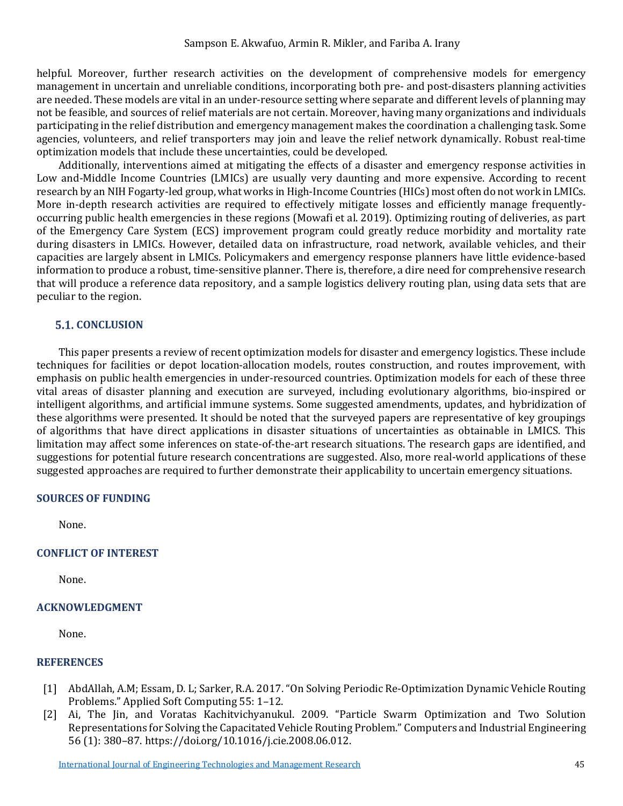helpful. Moreover, further research activities on the development of comprehensive models for emergency management in uncertain and unreliable conditions, incorporating both pre- and post-disasters planning activities are needed. These models are vital in an under-resource setting where separate and different levels of planning may not be feasible, and sources of relief materials are not certain. Moreover, having many organizations and individuals participating in the relief distribution and emergency management makes the coordination a challenging task. Some agencies, volunteers, and relief transporters may join and leave the relief network dynamically. Robust real-time optimization models that include these uncertainties, could be developed.

Additionally, interventions aimed at mitigating the effects of a disaster and emergency response activities in Low and-Middle Income Countries (LMICs) are usually very daunting and more expensive. According to recent research by an NIH Fogarty-led group, what works in High-Income Countries (HICs) most often do not work in LMICs. More in-depth research activities are required to effectively mitigate losses and efficiently manage frequentlyoccurring public health emergencies in these regions (Mowafi et al. 2019). Optimizing routing of deliveries, as part of the Emergency Care System (ECS) improvement program could greatly reduce morbidity and mortality rate during disasters in LMICs. However, detailed data on infrastructure, road network, available vehicles, and their capacities are largely absent in LMICs. Policymakers and emergency response planners have little evidence-based information to produce a robust, time-sensitive planner. There is, therefore, a dire need for comprehensive research that will produce a reference data repository, and a sample logistics delivery routing plan, using data sets that are peculiar to the region.

## **5.1. CONCLUSION**

This paper presents a review of recent optimization models for disaster and emergency logistics. These include techniques for facilities or depot location-allocation models, routes construction, and routes improvement, with emphasis on public health emergencies in under-resourced countries. Optimization models for each of these three vital areas of disaster planning and execution are surveyed, including evolutionary algorithms, bio-inspired or intelligent algorithms, and artificial immune systems. Some suggested amendments, updates, and hybridization of these algorithms were presented. It should be noted that the surveyed papers are representative of key groupings of algorithms that have direct applications in disaster situations of uncertainties as obtainable in LMICS. This limitation may affect some inferences on state-of-the-art research situations. The research gaps are identified, and suggestions for potential future research concentrations are suggested. Also, more real-world applications of these suggested approaches are required to further demonstrate their applicability to uncertain emergency situations.

### **SOURCES OF FUNDING**

None.

#### **CONFLICT OF INTEREST**

None.

#### **ACKNOWLEDGMENT**

None.

### **REFERENCES**

- [1] AbdAllah, A.M; Essam, D. L; Sarker, R.A. 2017. "On Solving Periodic Re-Optimization Dynamic Vehicle Routing Problems." Applied Soft Computing 55: 1–12.
- [2] Ai, The Jin, and Voratas Kachitvichyanukul. 2009. "Particle Swarm Optimization and Two Solution Representations for Solving the Capacitated Vehicle Routing Problem." Computers and Industrial Engineering 56 (1): 380–87. https://doi.org/10.1016/j.cie.2008.06.012.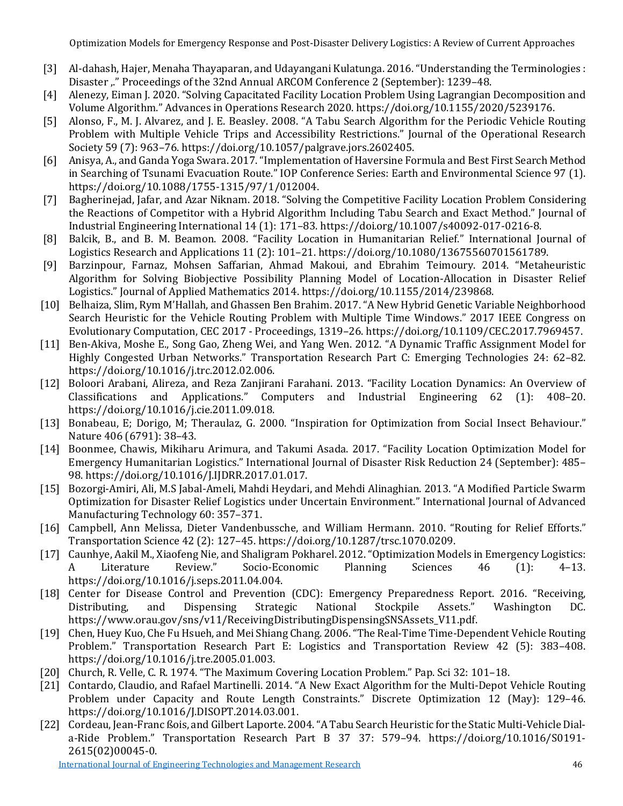- [3] Al-dahash, Hajer, Menaha Thayaparan, and Udayangani Kulatunga. 2016. "Understanding the Terminologies : Disaster "" Proceedings of the 32nd Annual ARCOM Conference 2 (September): 1239-48.
- [4] Alenezy, Eiman J. 2020. "Solving Capacitated Facility Location Problem Using Lagrangian Decomposition and Volume Algorithm." Advances in Operations Research 2020. https://doi.org/10.1155/2020/5239176.
- [5] Alonso, F., M. J. Alvarez, and J. E. Beasley. 2008. "A Tabu Search Algorithm for the Periodic Vehicle Routing Problem with Multiple Vehicle Trips and Accessibility Restrictions." Journal of the Operational Research Society 59 (7): 963–76. https://doi.org/10.1057/palgrave.jors.2602405.
- [6] Anisya, A., and Ganda Yoga Swara. 2017. "Implementation of Haversine Formula and Best First Search Method in Searching of Tsunami Evacuation Route." IOP Conference Series: Earth and Environmental Science 97 (1). https://doi.org/10.1088/1755-1315/97/1/012004.
- [7] Bagherinejad, Jafar, and Azar Niknam. 2018. "Solving the Competitive Facility Location Problem Considering the Reactions of Competitor with a Hybrid Algorithm Including Tabu Search and Exact Method." Journal of Industrial Engineering International 14 (1): 171–83. https://doi.org/10.1007/s40092-017-0216-8.
- [8] Balcik, B., and B. M. Beamon. 2008. "Facility Location in Humanitarian Relief." International Journal of Logistics Research and Applications 11 (2): 101–21. https://doi.org/10.1080/13675560701561789.
- [9] Barzinpour, Farnaz, Mohsen Saffarian, Ahmad Makoui, and Ebrahim Teimoury. 2014. "Metaheuristic Algorithm for Solving Biobjective Possibility Planning Model of Location-Allocation in Disaster Relief Logistics." Journal of Applied Mathematics 2014. https://doi.org/10.1155/2014/239868.
- [10] Belhaiza, Slim, Rym M'Hallah, and Ghassen Ben Brahim. 2017. "A New Hybrid Genetic Variable Neighborhood Search Heuristic for the Vehicle Routing Problem with Multiple Time Windows." 2017 IEEE Congress on Evolutionary Computation, CEC 2017 - Proceedings, 1319–26. https://doi.org/10.1109/CEC.2017.7969457.
- [11] Ben-Akiva, Moshe E., Song Gao, Zheng Wei, and Yang Wen. 2012. "A Dynamic Traffic Assignment Model for Highly Congested Urban Networks." Transportation Research Part C: Emerging Technologies 24: 62–82. https://doi.org/10.1016/j.trc.2012.02.006.
- [12] Boloori Arabani, Alireza, and Reza Zanjirani Farahani. 2013. "Facility Location Dynamics: An Overview of Classifications and Applications." Computers and Industrial Engineering 62 (1): 408–20. https://doi.org/10.1016/j.cie.2011.09.018.
- [13] Bonabeau, E; Dorigo, M; Theraulaz, G. 2000. "Inspiration for Optimization from Social Insect Behaviour." Nature 406 (6791): 38–43.
- [14] Boonmee, Chawis, Mikiharu Arimura, and Takumi Asada. 2017. "Facility Location Optimization Model for Emergency Humanitarian Logistics." International Journal of Disaster Risk Reduction 24 (September): 485– 98. https://doi.org/10.1016/J.IJDRR.2017.01.017.
- [15] Bozorgi-Amiri, Ali, M.S Jabal-Ameli, Mahdi Heydari, and Mehdi Alinaghian. 2013. "A Modified Particle Swarm Optimization for Disaster Relief Logistics under Uncertain Environment." International Journal of Advanced Manufacturing Technology 60: 357–371.
- [16] Campbell, Ann Melissa, Dieter Vandenbussche, and William Hermann. 2010. "Routing for Relief Efforts." Transportation Science 42 (2): 127–45. https://doi.org/10.1287/trsc.1070.0209.
- [17] Caunhye, Aakil M., Xiaofeng Nie, and Shaligram Pokharel. 2012. "Optimization Models in Emergency Logistics:<br>A Literature Review." Socio-Economic Planning Sciences 46 (1): 4–13. A Literature Review." Socio-Economic Planning Sciences 46 (1): 4–13. https://doi.org/10.1016/j.seps.2011.04.004.
- [18] Center for Disease Control and Prevention (CDC): Emergency Preparedness Report. 2016. "Receiving, Distributing, and Dispensing Strategic National Stockpile Assets." Washington DC. https://www.orau.gov/sns/v11/ReceivingDistributingDispensingSNSAssets\_V11.pdf.
- [19] Chen, Huey Kuo, Che Fu Hsueh, and Mei Shiang Chang. 2006. "The Real-Time Time-Dependent Vehicle Routing Problem." Transportation Research Part E: Logistics and Transportation Review 42 (5): 383–408. https://doi.org/10.1016/j.tre.2005.01.003.
- [20] Church, R. Velle, C. R. 1974. "The Maximum Covering Location Problem." Pap. Sci 32: 101–18.
- [21] Contardo, Claudio, and Rafael Martinelli. 2014. "A New Exact Algorithm for the Multi-Depot Vehicle Routing Problem under Capacity and Route Length Constraints." Discrete Optimization 12 (May): 129–46. https://doi.org/10.1016/J.DISOPT.2014.03.001.
- [22] Cordeau, Jean-Franc ßois, and Gilbert Laporte. 2004. "A Tabu Search Heuristic for the Static Multi-Vehicle Diala-Ride Problem." Transportation Research Part B 37 37: 579–94. https://doi.org/10.1016/S0191- 2615(02)00045-0.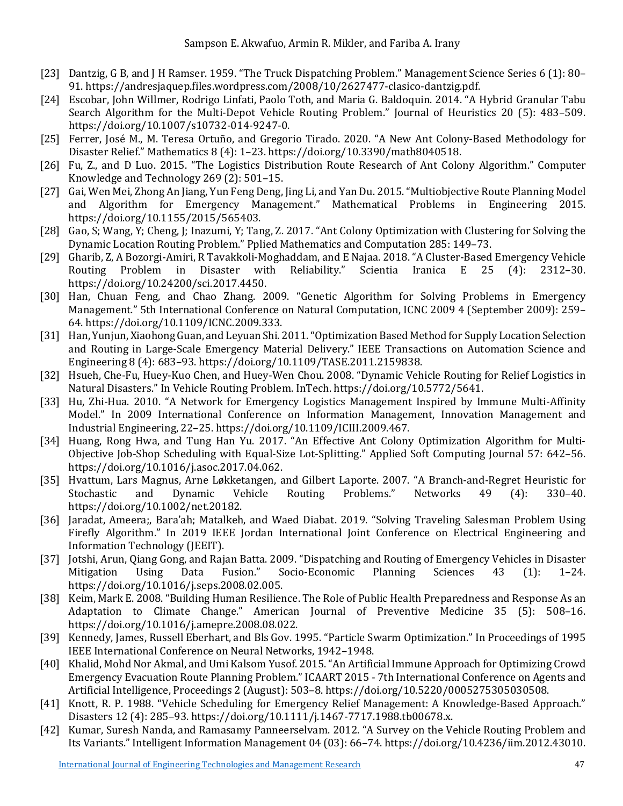- [23] Dantzig, G B, and J H Ramser. 1959. "The Truck Dispatching Problem." Management Science Series 6 (1): 80– 91. https://andresjaquep.files.wordpress.com/2008/10/2627477-clasico-dantzig.pdf.
- [24] Escobar, John Willmer, Rodrigo Linfati, Paolo Toth, and Maria G. Baldoquin. 2014. "A Hybrid Granular Tabu Search Algorithm for the Multi-Depot Vehicle Routing Problem." Journal of Heuristics 20 (5): 483–509. https://doi.org/10.1007/s10732-014-9247-0.
- [25] Ferrer, José M., M. Teresa Ortuño, and Gregorio Tirado. 2020. "A New Ant Colony-Based Methodology for Disaster Relief." Mathematics 8 (4): 1–23. https://doi.org/10.3390/math8040518.
- [26] Fu, Z., and D Luo. 2015. "The Logistics Distribution Route Research of Ant Colony Algorithm." Computer Knowledge and Technology 269 (2): 501–15.
- [27] Gai, Wen Mei, Zhong An Jiang, Yun Feng Deng, Jing Li, and Yan Du. 2015. "Multiobjective Route Planning Model and Algorithm for Emergency Management." Mathematical Problems in Engineering 2015. https://doi.org/10.1155/2015/565403.
- [28] Gao, S; Wang, Y; Cheng, J; Inazumi, Y; Tang, Z. 2017. "Ant Colony Optimization with Clustering for Solving the Dynamic Location Routing Problem." Pplied Mathematics and Computation 285: 149–73.
- [29] Gharib, Z, A Bozorgi-Amiri, R Tavakkoli-Moghaddam, and E Najaa. 2018. "A Cluster-Based Emergency Vehicle Routing Problem in Disaster with Reliability." Scientia Iranica E 25 https://doi.org/10.24200/sci.2017.4450.
- [30] Han, Chuan Feng, and Chao Zhang. 2009. "Genetic Algorithm for Solving Problems in Emergency Management." 5th International Conference on Natural Computation, ICNC 2009 4 (September 2009): 259– 64. https://doi.org/10.1109/ICNC.2009.333.
- [31] Han, Yunjun, Xiaohong Guan, and Leyuan Shi. 2011. "Optimization Based Method for Supply Location Selection and Routing in Large-Scale Emergency Material Delivery." IEEE Transactions on Automation Science and Engineering 8 (4): 683–93. https://doi.org/10.1109/TASE.2011.2159838.
- [32] Hsueh, Che-Fu, Huey-Kuo Chen, and Huey-Wen Chou. 2008. "Dynamic Vehicle Routing for Relief Logistics in Natural Disasters." In Vehicle Routing Problem. InTech. https://doi.org/10.5772/5641.
- [33] Hu, Zhi-Hua. 2010. "A Network for Emergency Logistics Management Inspired by Immune Multi-Affinity Model." In 2009 International Conference on Information Management, Innovation Management and Industrial Engineering, 22–25. https://doi.org/10.1109/ICIII.2009.467.
- [34] Huang, Rong Hwa, and Tung Han Yu. 2017. "An Effective Ant Colony Optimization Algorithm for Multi-Objective Job-Shop Scheduling with Equal-Size Lot-Splitting." Applied Soft Computing Journal 57: 642–56. https://doi.org/10.1016/j.asoc.2017.04.062.
- [35] Hvattum, Lars Magnus, Arne Løkketangen, and Gilbert Laporte. 2007. "A Branch-and-Regret Heuristic for<br>Stochastic and Dynamic Vehicle Routing Problems." Networks 49 (4): 330–40. Stochastic and Dynamic Vehicle Routing Problems." Networks 49 (4): 330–40. https://doi.org/10.1002/net.20182.
- [36] Jaradat, Ameera;, Bara'ah; Matalkeh, and Waed Diabat. 2019. "Solving Traveling Salesman Problem Using Firefly Algorithm." In 2019 IEEE Jordan International Joint Conference on Electrical Engineering and Information Technology (JEEIT).
- [37] Jotshi, Arun, Qiang Gong, and Rajan Batta. 2009. "Dispatching and Routing of Emergency Vehicles in Disaster<br>Mitigation Using Data Fusion." Socio-Economic Planning Sciences 43 (1): 1–24. Mitigation Using Data Fusion." Socio-Economic Planning Sciences 43 (1): 1–24. https://doi.org/10.1016/j.seps.2008.02.005.
- [38] Keim, Mark E. 2008. "Building Human Resilience. The Role of Public Health Preparedness and Response As an Adaptation to Climate Change." American Journal of Preventive Medicine 35 (5): 508–16. https://doi.org/10.1016/j.amepre.2008.08.022.
- [39] Kennedy, James, Russell Eberhart, and Bls Gov. 1995. "Particle Swarm Optimization." In Proceedings of 1995 IEEE International Conference on Neural Networks, 1942–1948.
- [40] Khalid, Mohd Nor Akmal, and Umi Kalsom Yusof. 2015. "An Artificial Immune Approach for Optimizing Crowd Emergency Evacuation Route Planning Problem." ICAART 2015 - 7th International Conference on Agents and Artificial Intelligence, Proceedings 2 (August): 503–8. https://doi.org/10.5220/0005275305030508.
- [41] Knott, R. P. 1988. "Vehicle Scheduling for Emergency Relief Management: A Knowledge-Based Approach." Disasters 12 (4): 285–93. https://doi.org/10.1111/j.1467-7717.1988.tb00678.x.
- [42] Kumar, Suresh Nanda, and Ramasamy Panneerselvam. 2012. "A Survey on the Vehicle Routing Problem and Its Variants." Intelligent Information Management 04 (03): 66–74. https://doi.org/10.4236/iim.2012.43010.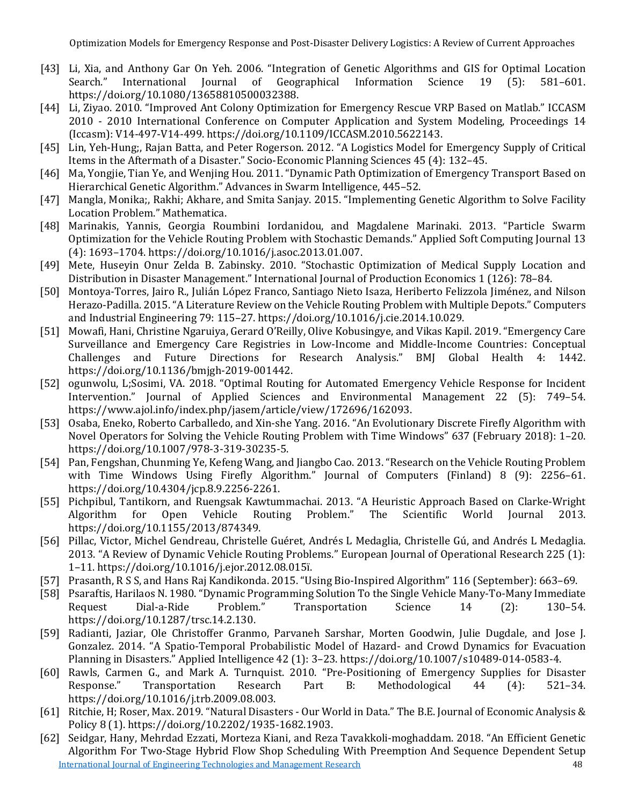- [43] Li, Xia, and Anthony Gar On Yeh. 2006. "Integration of Genetic Algorithms and GIS for Optimal Location International Journal of Geographical https://doi.org/10.1080/13658810500032388.
- [44] Li, Ziyao. 2010. "Improved Ant Colony Optimization for Emergency Rescue VRP Based on Matlab." ICCASM 2010 - 2010 International Conference on Computer Application and System Modeling, Proceedings 14 (Iccasm): V14-497-V14-499. https://doi.org/10.1109/ICCASM.2010.5622143.
- [45] Lin, Yeh-Hung;, Rajan Batta, and Peter Rogerson. 2012. "A Logistics Model for Emergency Supply of Critical Items in the Aftermath of a Disaster." Socio-Economic Planning Sciences 45 (4): 132–45.
- [46] Ma, Yongjie, Tian Ye, and Wenjing Hou. 2011. "Dynamic Path Optimization of Emergency Transport Based on Hierarchical Genetic Algorithm." Advances in Swarm Intelligence, 445–52.
- [47] Mangla, Monika;, Rakhi; Akhare, and Smita Sanjay. 2015. "Implementing Genetic Algorithm to Solve Facility Location Problem." Mathematica.
- [48] Marinakis, Yannis, Georgia Roumbini Iordanidou, and Magdalene Marinaki. 2013. "Particle Swarm Optimization for the Vehicle Routing Problem with Stochastic Demands." Applied Soft Computing Journal 13 (4): 1693–1704. https://doi.org/10.1016/j.asoc.2013.01.007.
- [49] Mete, Huseyin Onur Zelda B. Zabinsky. 2010. "Stochastic Optimization of Medical Supply Location and Distribution in Disaster Management." International Journal of Production Economics 1 (126): 78–84.
- [50] Montoya-Torres, Jairo R., Julián López Franco, Santiago Nieto Isaza, Heriberto Felizzola Jiménez, and Nilson Herazo-Padilla. 2015. "A Literature Review on the Vehicle Routing Problem with Multiple Depots." Computers and Industrial Engineering 79: 115–27. https://doi.org/10.1016/j.cie.2014.10.029.
- [51] Mowafi, Hani, Christine Ngaruiya, Gerard O'Reilly, Olive Kobusingye, and Vikas Kapil. 2019. "Emergency Care Surveillance and Emergency Care Registries in Low-Income and Middle-Income Countries: Conceptual Challenges and Future Directions for Research Analysis." BMJ Global Health 4: 1442. https://doi.org/10.1136/bmjgh-2019-001442.
- [52] ogunwolu, L;Sosimi, VA. 2018. "Optimal Routing for Automated Emergency Vehicle Response for Incident Intervention." Journal of Applied Sciences and Environmental Management 22 (5): 749–54. https://www.ajol.info/index.php/jasem/article/view/172696/162093.
- [53] Osaba, Eneko, Roberto Carballedo, and Xin-she Yang. 2016. "An Evolutionary Discrete Firefly Algorithm with Novel Operators for Solving the Vehicle Routing Problem with Time Windows" 637 (February 2018): 1–20. https://doi.org/10.1007/978-3-319-30235-5.
- [54] Pan, Fengshan, Chunming Ye, Kefeng Wang, and Jiangbo Cao. 2013. "Research on the Vehicle Routing Problem with Time Windows Using Firefly Algorithm." Journal of Computers (Finland) 8 (9): 2256–61. https://doi.org/10.4304/jcp.8.9.2256-2261.
- [55] Pichpibul, Tantikorn, and Ruengsak Kawtummachai. 2013. "A Heuristic Approach Based on Clarke-Wright World Journal https://doi.org/10.1155/2013/874349.
- [56] Pillac, Victor, Michel Gendreau, Christelle Guéret, Andrés L Medaglia, Christelle Gú, and Andrés L Medaglia. 2013. "A Review of Dynamic Vehicle Routing Problems." European Journal of Operational Research 225 (1): 1–11. https://doi.org/10.1016/j.ejor.2012.08.015ï.
- [57] Prasanth, R S S, and Hans Raj Kandikonda. 2015. "Using Bio-Inspired Algorithm" 116 (September): 663–69.
- [58] Psaraftis, Harilaos N. 1980. "Dynamic Programming Solution To the Single Vehicle Many-To-Many Immediate Request Dial-a-Ride Problem." Transportation Science 14 (2): 130–54. https://doi.org/10.1287/trsc.14.2.130.
- [59] Radianti, Jaziar, Ole Christoffer Granmo, Parvaneh Sarshar, Morten Goodwin, Julie Dugdale, and Jose J. Gonzalez. 2014. "A Spatio-Temporal Probabilistic Model of Hazard- and Crowd Dynamics for Evacuation Planning in Disasters." Applied Intelligence 42 (1): 3–23. https://doi.org/10.1007/s10489-014-0583-4.
- [60] Rawls, Carmen G., and Mark A. Turnquist. 2010. "Pre-Positioning of Emergency Supplies for Disaster Response." Transportation Research Part B: Methodological 44 (4): 521–34. https://doi.org/10.1016/j.trb.2009.08.003.
- [61] Ritchie, H; Roser, Max. 2019. "Natural Disasters Our World in Data." The B.E. Journal of Economic Analysis & Policy 8 (1). https://doi.org/10.2202/1935-1682.1903.
- [International Journal of Engineering Technologies and Management Research](https://www.granthaalayahpublication.org/ijetmr-ojms/index.php/ijetmr) 48 [62] Seidgar, Hany, Mehrdad Ezzati, Morteza Kiani, and Reza Tavakkoli-moghaddam. 2018. "An Efficient Genetic Algorithm For Two-Stage Hybrid Flow Shop Scheduling With Preemption And Sequence Dependent Setup